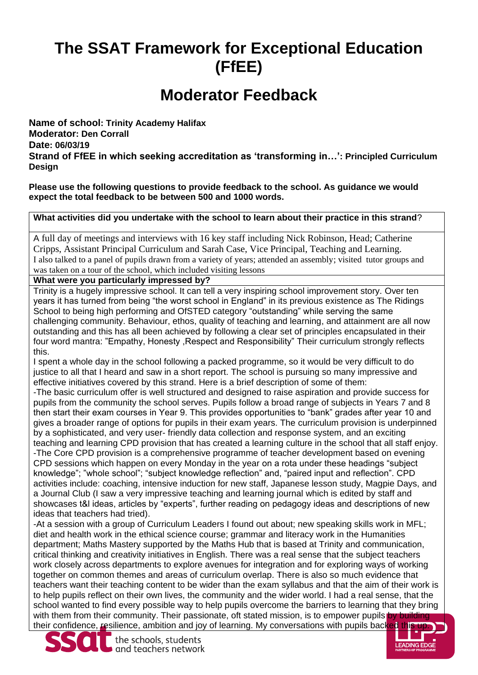# **The SSAT Framework for Exceptional Education (FfEE)**

# **Moderator Feedback**

**Name of school: Trinity Academy Halifax Moderator: Den Corrall Date: 06/03/19 Strand of FfEE in which seeking accreditation as 'transforming in…': Principled Curriculum Design**

**Please use the following questions to provide feedback to the school. As guidance we would expect the total feedback to be between 500 and 1000 words.**

#### **What activities did you undertake with the school to learn about their practice in this strand**?

A full day of meetings and interviews with 16 key staff including Nick Robinson, Head; Catherine Cripps, Assistant Principal Curriculum and Sarah Case, Vice Principal, Teaching and Learning. I also talked to a panel of pupils drawn from a variety of years; attended an assembly; visited tutor groups and was taken on a tour of the school, which included visiting lessons

**What were you particularly impressed by?**

Trinity is a hugely impressive school. It can tell a very inspiring school improvement story. Over ten years it has turned from being "the worst school in England" in its previous existence as The Ridings School to being high performing and OfSTED category "outstanding" while serving the same challenging community. Behaviour, ethos, quality of teaching and learning, and attainment are all now outstanding and this has all been achieved by following a clear set of principles encapsulated in their four word mantra: "Empathy, Honesty ,Respect and Responsibility" Their curriculum strongly reflects this.

I spent a whole day in the school following a packed programme, so it would be very difficult to do justice to all that I heard and saw in a short report. The school is pursuing so many impressive and effective initiatives covered by this strand. Here is a brief description of some of them:

-The basic curriculum offer is well structured and designed to raise aspiration and provide success for pupils from the community the school serves. Pupils follow a broad range of subjects in Years 7 and 8 then start their exam courses in Year 9. This provides opportunities to "bank" grades after year 10 and gives a broader range of options for pupils in their exam years. The curriculum provision is underpinned by a sophisticated, and very user- friendly data collection and response system, and an exciting teaching and learning CPD provision that has created a learning culture in the school that all staff enjoy. -The Core CPD provision is a comprehensive programme of teacher development based on evening CPD sessions which happen on every Monday in the year on a rota under these headings "subject knowledge"; "whole school"; "subject knowledge reflection" and, "paired input and reflection". CPD activities include: coaching, intensive induction for new staff, Japanese lesson study, Magpie Days, and a Journal Club (I saw a very impressive teaching and learning journal which is edited by staff and showcases t&l ideas, articles by "experts", further reading on pedagogy ideas and descriptions of new ideas that teachers had tried).

-At a session with a group of Curriculum Leaders I found out about; new speaking skills work in MFL; diet and health work in the ethical science course; grammar and literacy work in the Humanities department; Maths Mastery supported by the Maths Hub that is based at Trinity and communication, critical thinking and creativity initiatives in English. There was a real sense that the subject teachers work closely across departments to explore avenues for integration and for exploring ways of working together on common themes and areas of curriculum overlap. There is also so much evidence that teachers want their teaching content to be wider than the exam syllabus and that the aim of their work is to help pupils reflect on their own lives, the community and the wider world. I had a real sense, that the school wanted to find every possible way to help pupils overcome the barriers to learning that they bring with them from their community. Their passionate, oft stated mission, is to empower pupils by building their confidence, resilience, ambition and joy of learning. My conversations with pupils backed this up.



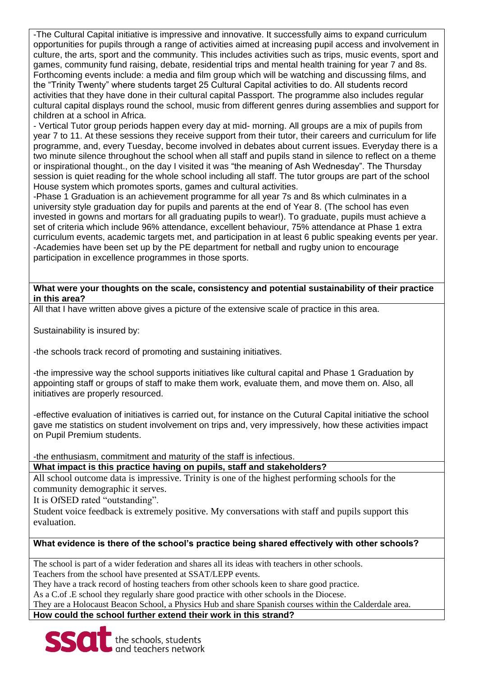-The Cultural Capital initiative is impressive and innovative. It successfully aims to expand curriculum opportunities for pupils through a range of activities aimed at increasing pupil access and involvement in culture, the arts, sport and the community. This includes activities such as trips, music events, sport and games, community fund raising, debate, residential trips and mental health training for year 7 and 8s. Forthcoming events include: a media and film group which will be watching and discussing films, and the "Trinity Twenty" where students target 25 Cultural Capital activities to do. All students record activities that they have done in their cultural capital Passport. The programme also includes regular cultural capital displays round the school, music from different genres during assemblies and support for children at a school in Africa.

- Vertical Tutor group periods happen every day at mid- morning. All groups are a mix of pupils from year 7 to 11. At these sessions they receive support from their tutor, their careers and curriculum for life programme, and, every Tuesday, become involved in debates about current issues. Everyday there is a two minute silence throughout the school when all staff and pupils stand in silence to reflect on a theme or inspirational thought., on the day I visited it was "the meaning of Ash Wednesday". The Thursday session is quiet reading for the whole school including all staff. The tutor groups are part of the school House system which promotes sports, games and cultural activities.

-Phase 1 Graduation is an achievement programme for all year 7s and 8s which culminates in a university style graduation day for pupils and parents at the end of Year 8. (The school has even invested in gowns and mortars for all graduating pupils to wear!). To graduate, pupils must achieve a set of criteria which include 96% attendance, excellent behaviour, 75% attendance at Phase 1 extra curriculum events, academic targets met, and participation in at least 6 public speaking events per year. -Academies have been set up by the PE department for netball and rugby union to encourage participation in excellence programmes in those sports.

**What were your thoughts on the scale, consistency and potential sustainability of their practice in this area?**

All that I have written above gives a picture of the extensive scale of practice in this area.

Sustainability is insured by:

-the schools track record of promoting and sustaining initiatives.

-the impressive way the school supports initiatives like cultural capital and Phase 1 Graduation by appointing staff or groups of staff to make them work, evaluate them, and move them on. Also, all initiatives are properly resourced.

-effective evaluation of initiatives is carried out, for instance on the Cutural Capital initiative the school gave me statistics on student involvement on trips and, very impressively, how these activities impact on Pupil Premium students.

-the enthusiasm, commitment and maturity of the staff is infectious.

## **What impact is this practice having on pupils, staff and stakeholders?**

All school outcome data is impressive. Trinity is one of the highest performing schools for the community demographic it serves.

It is OfSED rated "outstanding".

Student voice feedback is extremely positive. My conversations with staff and pupils support this evaluation.

## **What evidence is there of the school's practice being shared effectively with other schools?**

The school is part of a wider federation and shares all its ideas with teachers in other schools. Teachers from the school have presented at SSAT/LEPP events.

They have a track record of hosting teachers from other schools keen to share good practice.

As a C.of .E school they regularly share good practice with other schools in the Diocese.

They are a Holocaust Beacon School, a Physics Hub and share Spanish courses within the Calderdale area.

**How could the school further extend their work in this strand?**